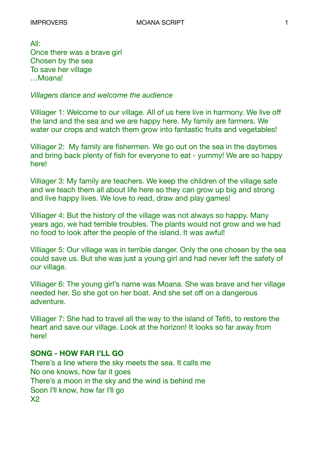All: Once there was a brave girl Chosen by the sea To save her village …Moana!

*Villagers dance and welcome the audience* 

Villiager 1: Welcome to our village. All of us here live in harmony. We live off the land and the sea and we are happy here. My family are farmers. We water our crops and watch them grow into fantastic fruits and vegetables!

Villiager 2: My family are fishermen. We go out on the sea in the daytimes and bring back plenty of fish for everyone to eat - yummy! We are so happy here!

Villiager 3: My family are teachers. We keep the children of the village safe and we teach them all about life here so they can grow up big and strong and live happy lives. We love to read, draw and play games!

Villiager 4: But the history of the village was not always so happy. Many years ago, we had terrible troubles. The plants would not grow and we had no food to look after the people of the island. It was awful!

Villiager 5: Our village was in terrible danger. Only the one chosen by the sea could save us. But she was just a young girl and had never left the safety of our village.

Villiager 6: The young girl's name was Moana. She was brave and her village needed her. So she got on her boat. And she set off on a dangerous adventure.

Villiager 7: She had to travel all the way to the island of Tefiti, to restore the heart and save our village. Look at the horizon! It looks so far away from here!

## **SONG - HOW FAR I'LL GO**

There's a line where the sky meets the sea. It calls me No one knows, how far it goes There's a moon in the sky and the wind is behind me Soon I'll know, how far I'll go X2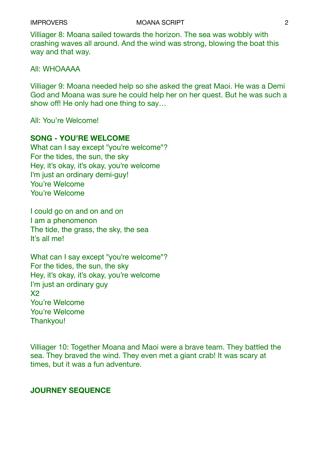Villiager 8: Moana sailed towards the horizon. The sea was wobbly with crashing waves all around. And the wind was strong, blowing the boat this way and that way.

All: WHOAAAA

Villiager 9: Moana needed help so she asked the great Maoi. He was a Demi God and Moana was sure he could help her on her quest. But he was such a show off! He only had one thing to say…

All: You're Welcome!

## **SONG - YOU'RE WELCOME**

What can I say except "you're welcome"? For the tides, the sun, the sky Hey, it's okay, it's okay, you're welcome I'm just an ordinary demi-guy! You're Welcome You're Welcome

I could go on and on and on I am a phenomenon The tide, the grass, the sky, the sea It's all me!

What can I say except "you're welcome"? For the tides, the sun, the sky Hey, it's okay, it's okay, you're welcome I'm just an ordinary guy X2 You're Welcome You're Welcome Thankyou!

Villiager 10: Together Moana and Maoi were a brave team. They battled the sea. They braved the wind. They even met a giant crab! It was scary at times, but it was a fun adventure.

## **JOURNEY SEQUENCE**